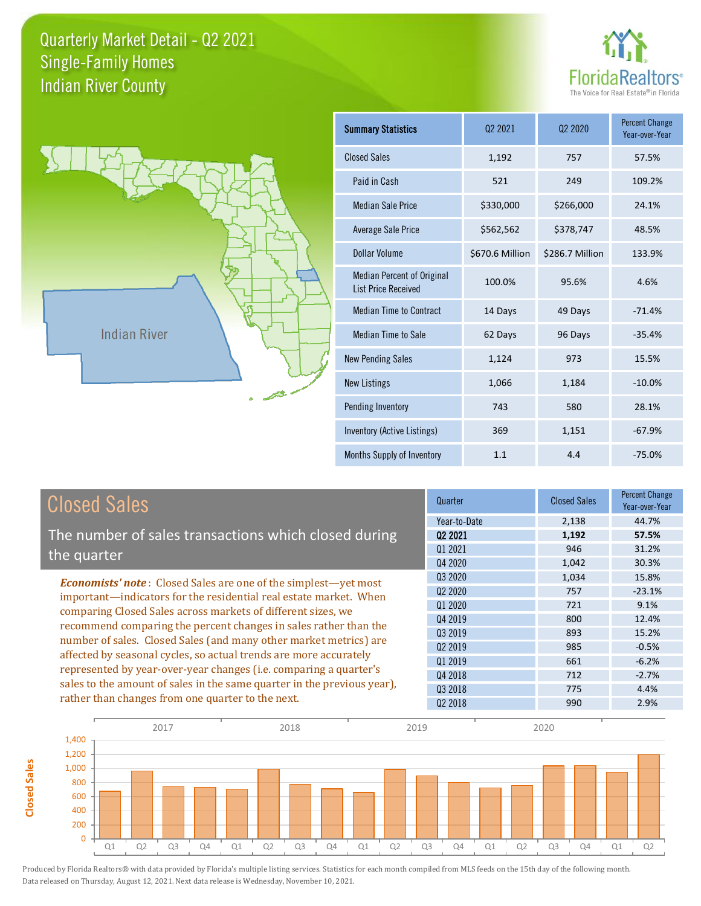



**Closed Sales**

**Closed Sales** 

| <b>Summary Statistics</b>                                       | 02 2021         | 02 2020         | <b>Percent Change</b><br>Year-over-Year |
|-----------------------------------------------------------------|-----------------|-----------------|-----------------------------------------|
| <b>Closed Sales</b>                                             | 1,192           | 757             | 57.5%                                   |
| Paid in Cash                                                    | 521             | 249             | 109.2%                                  |
| <b>Median Sale Price</b>                                        | \$330,000       | \$266,000       | 24.1%                                   |
| <b>Average Sale Price</b>                                       | \$562,562       | \$378,747       | 48.5%                                   |
| Dollar Volume                                                   | \$670.6 Million | \$286.7 Million | 133.9%                                  |
| <b>Median Percent of Original</b><br><b>List Price Received</b> | 100.0%          | 95.6%           | 4.6%                                    |
| <b>Median Time to Contract</b>                                  | 14 Days         | 49 Days         | $-71.4%$                                |
| Median Time to Sale                                             | 62 Days         | 96 Days         | $-35.4%$                                |
| <b>New Pending Sales</b>                                        | 1,124           | 973             | 15.5%                                   |
| <b>New Listings</b>                                             | 1,066           | 1,184           | $-10.0%$                                |
| Pending Inventory                                               | 743             | 580             | 28.1%                                   |
| Inventory (Active Listings)                                     | 369             | 1,151           | $-67.9%$                                |
| Months Supply of Inventory                                      | 1.1             | 4.4             | $-75.0%$                                |

| <b>Closed Sales</b>                                                                                                                                                                                   | Quarter             | <b>Closed Sales</b> | <b>Percent Change</b><br>Year-over-Year |
|-------------------------------------------------------------------------------------------------------------------------------------------------------------------------------------------------------|---------------------|---------------------|-----------------------------------------|
|                                                                                                                                                                                                       | Year-to-Date        | 2,138               | 44.7%                                   |
| The number of sales transactions which closed during                                                                                                                                                  | 02 2021             | 1,192               | 57.5%                                   |
| the quarter                                                                                                                                                                                           | Q1 2021             | 946                 | 31.2%                                   |
|                                                                                                                                                                                                       | Q4 2020             | 1,042               | 30.3%                                   |
| <b>Economists' note:</b> Closed Sales are one of the simplest—yet most                                                                                                                                | Q3 2020             | 1,034               | 15.8%                                   |
| important—indicators for the residential real estate market. When                                                                                                                                     | Q <sub>2</sub> 2020 | 757                 | $-23.1%$                                |
| comparing Closed Sales across markets of different sizes, we<br>recommend comparing the percent changes in sales rather than the<br>number of sales. Closed Sales (and many other market metrics) are | Q1 2020             | 721                 | 9.1%                                    |
|                                                                                                                                                                                                       | Q4 2019             | 800                 | 12.4%                                   |
|                                                                                                                                                                                                       | Q3 2019             | 893                 | 15.2%                                   |
|                                                                                                                                                                                                       | 02 2019             | 985                 | $-0.5%$                                 |
| affected by seasonal cycles, so actual trends are more accurately                                                                                                                                     | Q1 2019             | 661                 | $-6.2%$                                 |
| represented by year-over-year changes (i.e. comparing a quarter's                                                                                                                                     | Q4 2018             | 712                 | $-2.7%$                                 |
| sales to the amount of sales in the same quarter in the previous year),                                                                                                                               | 03 2018             | 775                 | 4.4%                                    |
| rather than changes from one quarter to the next.                                                                                                                                                     | 02 2018             | 990                 | 2.9%                                    |

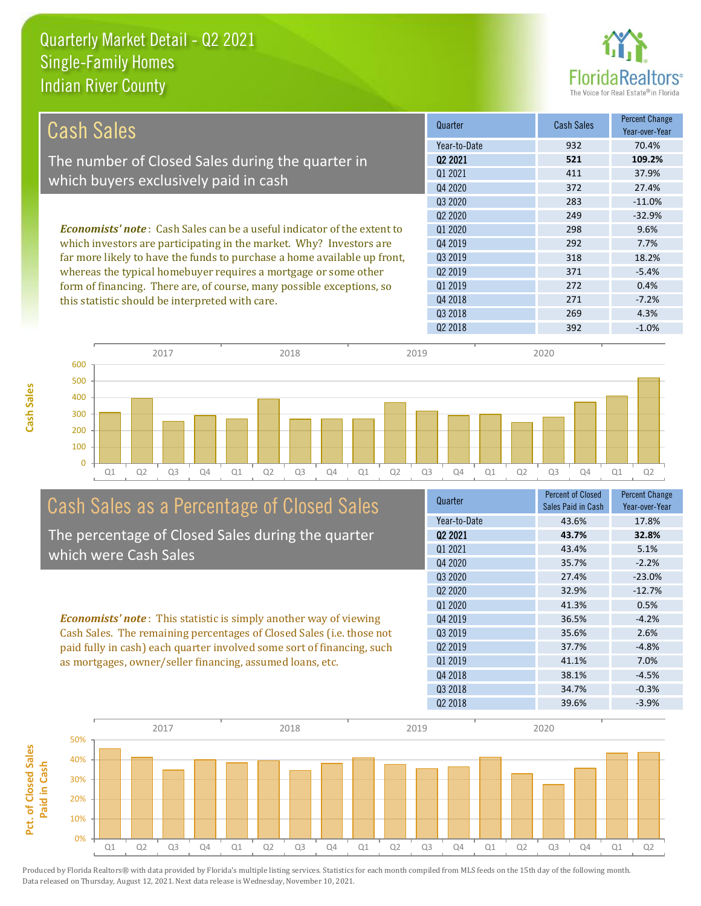

| <b>Cash Sales</b>                                                              | Quarter             | <b>Cash Sales</b> | <b>Percent Change</b><br>Year-over-Year |
|--------------------------------------------------------------------------------|---------------------|-------------------|-----------------------------------------|
|                                                                                | Year-to-Date        | 932               | 70.4%                                   |
| The number of Closed Sales during the quarter in                               | Q <sub>2</sub> 2021 | 521               | 109.2%                                  |
|                                                                                | 01 2021             | 411               | 37.9%                                   |
| which buyers exclusively paid in cash                                          | Q4 2020             | 372               | 27.4%                                   |
|                                                                                | 03 20 20            | 283               | $-11.0%$                                |
|                                                                                | 02 2020             | 249               | $-32.9%$                                |
| <b>Economists' note:</b> Cash Sales can be a useful indicator of the extent to | 01 2020             | 298               | 9.6%                                    |
| which investors are participating in the market. Why? Investors are            | 04 2019             | 292               | 7.7%                                    |
| far more likely to have the funds to purchase a home available up front,       | Q3 2019             | 318               | 18.2%                                   |
| whereas the typical homebuyer requires a mortgage or some other                | Q <sub>2</sub> 2019 | 371               | $-5.4%$                                 |
| form of financing. There are, of course, many possible exceptions, so          | 01 2019             | 272               | 0.4%                                    |
| this statistic should be interpreted with care.                                | Q4 2018             | 271               | $-7.2%$                                 |
|                                                                                | Q3 2018             | 269               | 4.3%                                    |



# Cash Sales as a Percentage of Closed Sales

The percentage of Closed Sales during the quarter which were Cash Sales

*Economists' note* : This statistic is simply another way of viewing Cash Sales. The remaining percentages of Closed Sales (i.e. those not paid fully in cash) each quarter involved some sort of financing, such as mortgages, owner/seller financing, assumed loans, etc.

| Sales Paid in Cash | Year-over-Year |
|--------------------|----------------|
| 43.6%              | 17.8%          |
| 43.7%              | 32.8%          |
| 43.4%              | 5.1%           |
| 35.7%              | $-2.2%$        |
| 27.4%              | $-23.0%$       |
| 32.9%              | $-12.7%$       |
| 41.3%              | 0.5%           |
| 36.5%              | $-4.2%$        |
| 35.6%              | 2.6%           |
| 37.7%              | $-4.8%$        |
| 41.1%              | 7.0%           |
| 38.1%              | $-4.5%$        |
| 34.7%              | $-0.3%$        |
| 39.6%              | $-3.9%$        |
|                    |                |

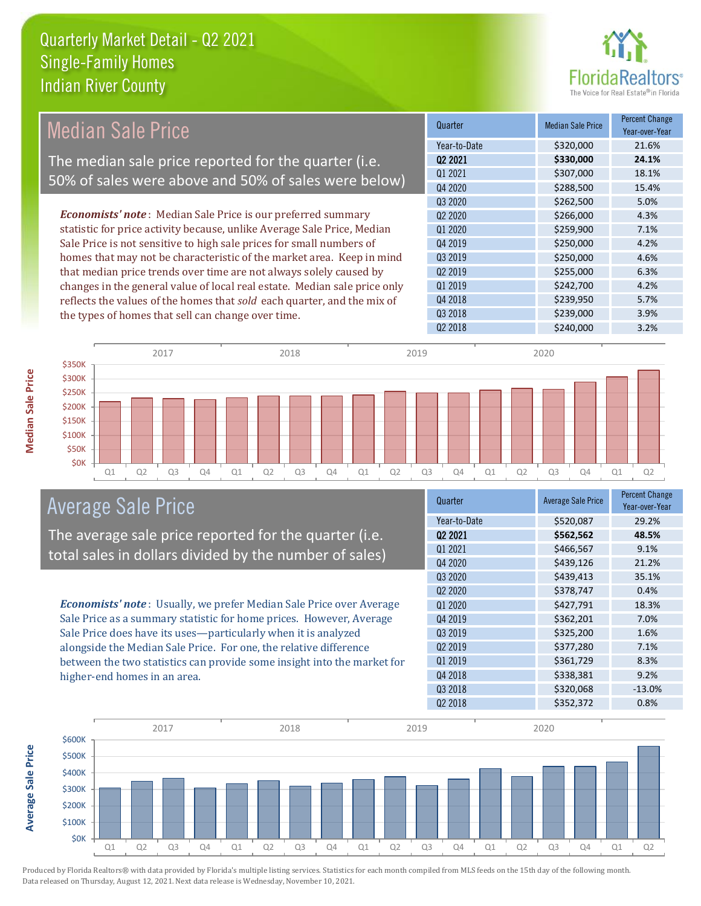

## Median Sale Price

The median sale price reported for the quarter (i.e. 50% of sales were above and 50% of sales were below)

*Economists' note* : Median Sale Price is our preferred summary statistic for price activity because, unlike Average Sale Price, Median Sale Price is not sensitive to high sale prices for small numbers of homes that may not be characteristic of the market area. Keep in mind that median price trends over time are not always solely caused by changes in the general value of local real estate. Median sale price only reflects the values of the homes that *sold* each quarter, and the mix of the types of homes that sell can change over time.

| Quarter             | <b>Median Sale Price</b> | <b>Percent Change</b><br>Year-over-Year |
|---------------------|--------------------------|-----------------------------------------|
| Year-to-Date        | \$320,000                | 21.6%                                   |
| Q <sub>2</sub> 2021 | \$330,000                | 24.1%                                   |
| 01 2021             | \$307,000                | 18.1%                                   |
| Q4 2020             | \$288,500                | 15.4%                                   |
| Q3 2020             | \$262,500                | 5.0%                                    |
| 02 2020             | \$266,000                | 4.3%                                    |
| Q1 2020             | \$259,900                | 7.1%                                    |
| Q4 2019             | \$250,000                | 4.2%                                    |
| 03 2019             | \$250,000                | 4.6%                                    |
| Q <sub>2</sub> 2019 | \$255,000                | 6.3%                                    |
| Q1 2019             | \$242,700                | 4.2%                                    |
| Q4 2018             | \$239,950                | 5.7%                                    |
| Q3 2018             | \$239,000                | 3.9%                                    |
| 02 2018             | \$240,000                | 3.2%                                    |
|                     |                          |                                         |



## Average Sale Price

The average sale price reported for the quarter (i.e. total sales in dollars divided by the number of sales)

*Economists' note* : Usually, we prefer Median Sale Price over Average Sale Price as a summary statistic for home prices. However, Average Sale Price does have its uses—particularly when it is analyzed alongside the Median Sale Price. For one, the relative difference between the two statistics can provide some insight into the market for higher-end homes in an area.

| Quarter                         | <b>Average Sale Price</b> | <b>Percent Change</b><br>Year-over-Year |
|---------------------------------|---------------------------|-----------------------------------------|
| Year-to-Date                    | \$520,087                 | 29.2%                                   |
| Q <sub>2</sub> 2021             | \$562,562                 | 48.5%                                   |
| Q1 2021                         | \$466,567                 | 9.1%                                    |
| Q4 2020                         | \$439,126                 | 21.2%                                   |
| Q3 2020                         | \$439,413                 | 35.1%                                   |
| Q <sub>2</sub> 20 <sub>20</sub> | \$378,747                 | 0.4%                                    |
| Q1 2020                         | \$427,791                 | 18.3%                                   |
| Q4 2019                         | \$362,201                 | 7.0%                                    |
| Q3 2019                         | \$325,200                 | 1.6%                                    |
| Q <sub>2</sub> 2019             | \$377,280                 | 7.1%                                    |
| 01 2019                         | \$361,729                 | 8.3%                                    |
| Q4 2018                         | \$338,381                 | 9.2%                                    |
| Q3 2018                         | \$320,068                 | $-13.0%$                                |
| Q <sub>2</sub> 2018             | \$352,372                 | 0.8%                                    |



Produced by Florida Realtors® with data provided by Florida's multiple listing services. Statistics for each month compiled from MLS feeds on the 15th day of the following month. Data released on Thursday, August 12, 2021. Next data release is Wednesday, November 10, 2021.

**Average Sale Price**

**Average Sale Price**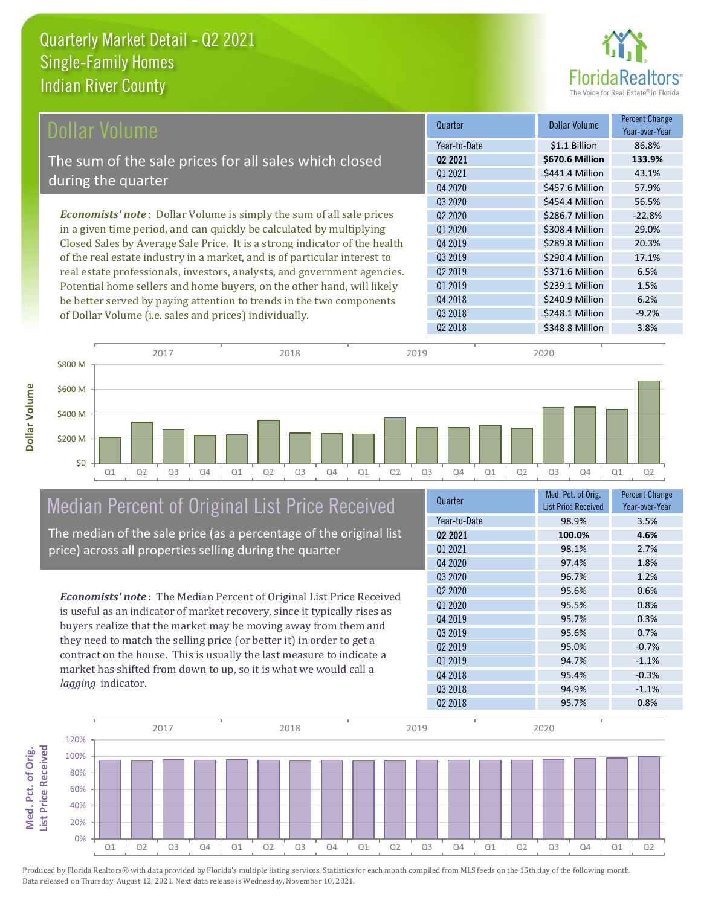

| Dollar Volume                                                                | Quarter             | <b>Dollar Volume</b> | <b>Percent Change</b><br>Year-over-Year |
|------------------------------------------------------------------------------|---------------------|----------------------|-----------------------------------------|
|                                                                              | Year-to-Date        | \$1.1 Billion        | 86.8%                                   |
| The sum of the sale prices for all sales which closed                        | 02 2021             | \$670.6 Million      | 133.9%                                  |
| during the quarter                                                           | 01 2021             | \$441.4 Million      | 43.1%                                   |
|                                                                              | Q4 2020             | \$457.6 Million      | 57.9%                                   |
|                                                                              | Q3 2020             | \$454.4 Million      | 56.5%                                   |
| <b>Economists' note</b> : Dollar Volume is simply the sum of all sale prices | 02 2020             | \$286.7 Million      | $-22.8%$                                |
| in a given time period, and can quickly be calculated by multiplying         | Q1 2020             | \$308.4 Million      | 29.0%                                   |
| Closed Sales by Average Sale Price. It is a strong indicator of the health   | Q4 2019             | \$289.8 Million      | 20.3%                                   |
| of the real estate industry in a market, and is of particular interest to    | 03 2019             | \$290.4 Million      | 17.1%                                   |
| real estate professionals, investors, analysts, and government agencies.     | Q <sub>2</sub> 2019 | \$371.6 Million      | 6.5%                                    |
| Potential home sellers and home buyers, on the other hand, will likely       | 01 2019             | \$239.1 Million      | 1.5%                                    |
| be better served by paying attention to trends in the two components         | Q4 2018             | \$240.9 Million      | 6.2%                                    |

Q1 Q2 Q3 Q4 Q1 Q2 Q3 Q4 Q1 Q2 Q3 Q4 Q1 Q2 Q3 Q4 Q1 Q2 \$0 \$200 M \$400 M \$600 M \$800 M 2017 2018 2019 2020

## Median Percent of Original List Price Received

of Dollar Volume (i.e. sales and prices) individually.

The median of the sale price (as a percentage of the original list price) across all properties selling during the quarter

*Economists' note* : The Median Percent of Original List Price Received is useful as an indicator of market recovery, since it typically rises as buyers realize that the market may be moving away from them and they need to match the selling price (or better it) in order to get a contract on the house. This is usually the last measure to indicate a market has shifted from down to up, so it is what we would call a *lagging* indicator.

| Quarter                         | Med. Pct. of Orig.<br><b>List Price Received</b> | <b>Percent Change</b><br>Year-over-Year |
|---------------------------------|--------------------------------------------------|-----------------------------------------|
| Year-to-Date                    | 98.9%                                            | 3.5%                                    |
| 02 2021                         | 100.0%                                           | 4.6%                                    |
| 01 2021                         | 98.1%                                            | 2.7%                                    |
| Q4 2020                         | 97.4%                                            | 1.8%                                    |
| 03 2020                         | 96.7%                                            | 1.2%                                    |
| Q <sub>2</sub> 20 <sub>20</sub> | 95.6%                                            | 0.6%                                    |
| Q1 2020                         | 95.5%                                            | 0.8%                                    |
| Q4 2019                         | 95.7%                                            | 0.3%                                    |
| 03 2019                         | 95.6%                                            | 0.7%                                    |
| Q <sub>2</sub> 2019             | 95.0%                                            | $-0.7%$                                 |
| 01 2019                         | 94.7%                                            | $-1.1%$                                 |
| Q4 2018                         | 95.4%                                            | $-0.3%$                                 |
| Q3 2018                         | 94.9%                                            | $-1.1%$                                 |
| Q <sub>2</sub> 2018             | 95.7%                                            | 0.8%                                    |
|                                 |                                                  |                                         |

Q2 2018 **\$348.8 Million** 3.8%

Q3 2018 \$248.1 Million -9.2%

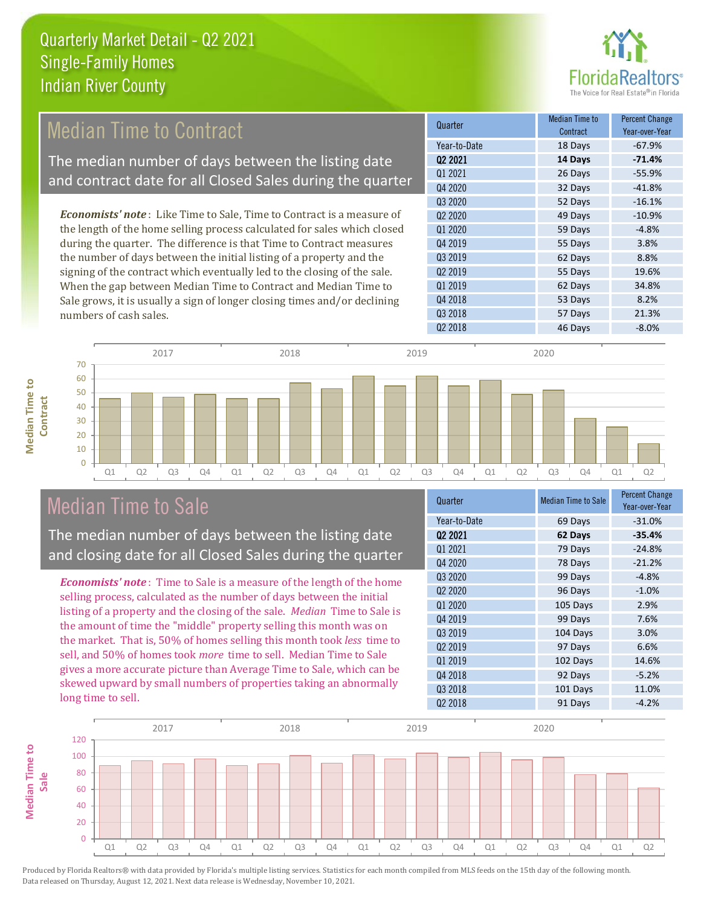

## Median Time to Contract

The median number of days between the listing date and contract date for all Closed Sales during the quarter

*Economists' note* : Like Time to Sale, Time to Contract is a measure of the length of the home selling process calculated for sales which closed during the quarter. The difference is that Time to Contract measures the number of days between the initial listing of a property and the signing of the contract which eventually led to the closing of the sale. When the gap between Median Time to Contract and Median Time to Sale grows, it is usually a sign of longer closing times and/or declining numbers of cash sales.

| Quarter                         | Median Time to<br>Contract | <b>Percent Change</b><br>Year-over-Year |
|---------------------------------|----------------------------|-----------------------------------------|
| Year-to-Date                    | 18 Days                    | $-67.9%$                                |
| Q <sub>2</sub> 2021             | 14 Days                    | $-71.4%$                                |
| Q1 2021                         | 26 Days                    | $-55.9%$                                |
| Q4 2020                         | 32 Days                    | $-41.8%$                                |
| Q3 2020                         | 52 Days                    | $-16.1%$                                |
| Q <sub>2</sub> 20 <sub>20</sub> | 49 Days                    | $-10.9%$                                |
| Q1 2020                         | 59 Days                    | $-4.8%$                                 |
| Q4 2019                         | 55 Days                    | 3.8%                                    |
| 03 2019                         | 62 Days                    | 8.8%                                    |
| Q <sub>2</sub> 2019             | 55 Days                    | 19.6%                                   |
| Q1 2019                         | 62 Days                    | 34.8%                                   |
| Q4 2018                         | 53 Days                    | 8.2%                                    |
| Q3 2018                         | 57 Days                    | 21.3%                                   |
| Q <sub>2</sub> 2018             | 46 Days                    | $-8.0%$                                 |



## Median Time to Sale

**Median Time to** 

**Median Time to** 

The median number of days between the listing date and closing date for all Closed Sales during the quarter

*Economists' note* : Time to Sale is a measure of the length of the home selling process, calculated as the number of days between the initial listing of a property and the closing of the sale. *Median* Time to Sale is the amount of time the "middle" property selling this month was on the market. That is, 50% of homes selling this month took *less* time to sell, and 50% of homes took *more* time to sell. Median Time to Sale gives a more accurate picture than Average Time to Sale, which can be skewed upward by small numbers of properties taking an abnormally long time to sell.

| Quarter             | <b>Median Time to Sale</b> | <b>Percent Change</b><br>Year-over-Year |
|---------------------|----------------------------|-----------------------------------------|
| Year-to-Date        | 69 Days                    | $-31.0%$                                |
| Q <sub>2</sub> 2021 | 62 Days                    | $-35.4%$                                |
| 01 2021             | 79 Days                    | $-24.8%$                                |
| Q4 2020             | 78 Days                    | $-21.2%$                                |
| Q3 2020             | 99 Days                    | $-4.8%$                                 |
| 02 2020             | 96 Days                    | $-1.0%$                                 |
| Q1 2020             | 105 Days                   | 2.9%                                    |
| Q4 2019             | 99 Days                    | 7.6%                                    |
| 03 2019             | 104 Days                   | 3.0%                                    |
| Q <sub>2</sub> 2019 | 97 Days                    | 6.6%                                    |
| 01 2019             | 102 Days                   | 14.6%                                   |
| Q4 2018             | 92 Days                    | $-5.2%$                                 |
| Q3 2018             | 101 Days                   | 11.0%                                   |
| Q <sub>2</sub> 2018 | 91 Days                    | $-4.2%$                                 |

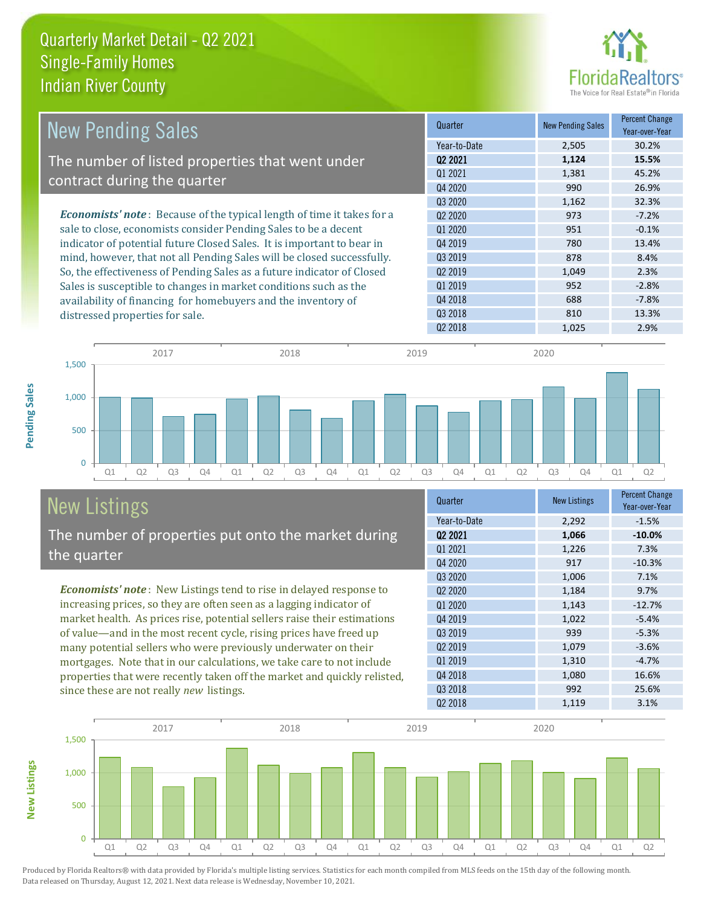

| <b>New Pending Sales</b>                                                       | Quarter             | <b>New Pending Sales</b> | <b>Percent Change</b><br>Year-over-Year |
|--------------------------------------------------------------------------------|---------------------|--------------------------|-----------------------------------------|
|                                                                                | Year-to-Date        | 2,505                    | 30.2%                                   |
| The number of listed properties that went under                                | 02 2021             | 1,124                    | 15.5%                                   |
| contract during the quarter                                                    | 01 2021             | 1,381                    | 45.2%                                   |
|                                                                                | Q4 2020             | 990                      | 26.9%                                   |
|                                                                                | Q3 2020             | 1,162                    | 32.3%                                   |
| <b>Economists' note</b> : Because of the typical length of time it takes for a | 02 2020             | 973                      | $-7.2%$                                 |
| sale to close, economists consider Pending Sales to be a decent                | Q1 2020             | 951                      | $-0.1%$                                 |
| indicator of potential future Closed Sales. It is important to bear in         | Q4 2019             | 780                      | 13.4%                                   |
| mind, however, that not all Pending Sales will be closed successfully.         | 03 2019             | 878                      | 8.4%                                    |
| So, the effectiveness of Pending Sales as a future indicator of Closed         | Q <sub>2</sub> 2019 | 1,049                    | 2.3%                                    |
| Sales is susceptible to changes in market conditions such as the               | 01 2019             | 952                      | $-2.8%$                                 |
| availability of financing for homebuyers and the inventory of                  | Q4 2018             | 688                      | $-7.8%$                                 |
| distressed properties for sale.                                                | Q3 2018             | 810                      | 13.3%                                   |
|                                                                                | Q <sub>2</sub> 2018 | 1,025                    | 2.9%                                    |

**New Listings**



## New Listings

The number of properties put onto the market during the quarter

*Economists' note* : New Listings tend to rise in delayed response to increasing prices, so they are often seen as a lagging indicator of market health. As prices rise, potential sellers raise their estimations of value—and in the most recent cycle, rising prices have freed up many potential sellers who were previously underwater on their mortgages. Note that in our calculations, we take care to not include properties that were recently taken off the market and quickly relisted, since these are not really *new* listings.

| Quarter                         | <b>New Listings</b> | <b>Percent Change</b><br>Year-over-Year |
|---------------------------------|---------------------|-----------------------------------------|
| Year-to-Date                    | 2,292               | $-1.5%$                                 |
| 02 2021                         | 1,066               | $-10.0\%$                               |
| Q1 2021                         | 1,226               | 7.3%                                    |
| Q4 2020                         | 917                 | $-10.3%$                                |
| Q3 2020                         | 1,006               | 7.1%                                    |
| Q <sub>2</sub> 20 <sub>20</sub> | 1,184               | 9.7%                                    |
| Q1 2020                         | 1,143               | $-12.7%$                                |
| Q4 2019                         | 1,022               | $-5.4%$                                 |
| Q3 2019                         | 939                 | $-5.3%$                                 |
| Q <sub>2</sub> 2019             | 1,079               | $-3.6%$                                 |
| Q1 2019                         | 1,310               | $-4.7%$                                 |
| Q4 2018                         | 1,080               | 16.6%                                   |
| Q3 2018                         | 992                 | 25.6%                                   |
| 02 2018                         | 1,119               | 3.1%                                    |

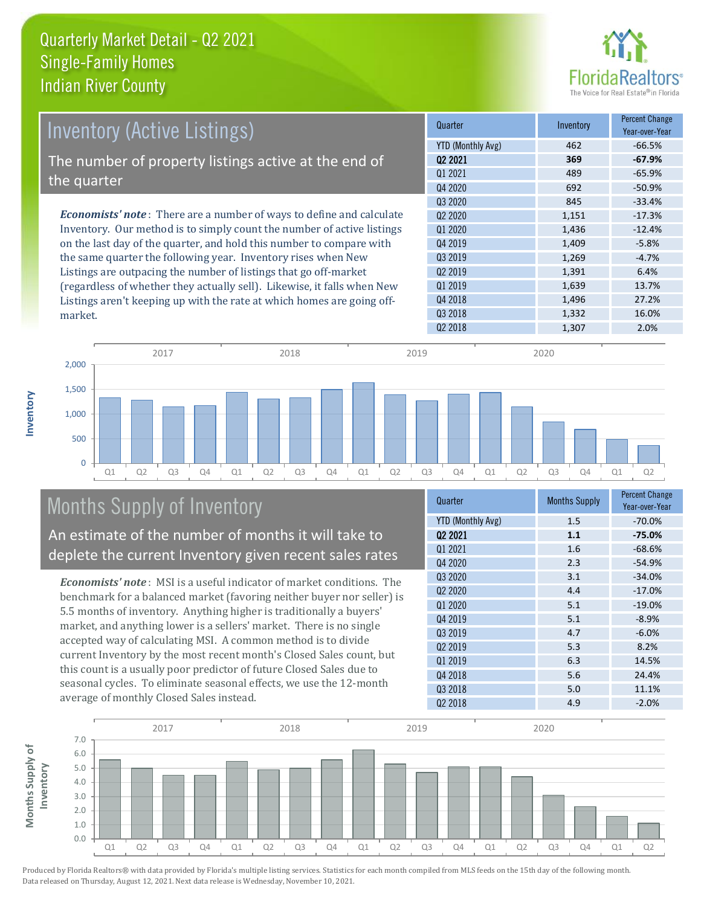

| <b>Inventory (Active Listings)</b>                                           | Quarter             | Inventory | <b>Percent Change</b><br>Year-over-Year |
|------------------------------------------------------------------------------|---------------------|-----------|-----------------------------------------|
|                                                                              | YTD (Monthly Avg)   | 462       | $-66.5%$                                |
| The number of property listings active at the end of                         | 02 2021             | 369       | $-67.9%$                                |
| the quarter                                                                  | 01 2021             | 489       | $-65.9%$                                |
|                                                                              | Q4 2020             | 692       | $-50.9%$                                |
|                                                                              | 03 20 20            | 845       | $-33.4%$                                |
| <b>Economists' note</b> : There are a number of ways to define and calculate | 02 2020             | 1,151     | $-17.3%$                                |
| Inventory. Our method is to simply count the number of active listings       | 01 2020             | 1,436     | $-12.4%$                                |
| on the last day of the quarter, and hold this number to compare with         | 04 2019             | 1,409     | $-5.8%$                                 |
| the same quarter the following year. Inventory rises when New                | 03 2019             | 1,269     | $-4.7%$                                 |
| Listings are outpacing the number of listings that go off-market             | Q <sub>2</sub> 2019 | 1,391     | 6.4%                                    |
| (regardless of whether they actually sell). Likewise, it falls when New      | Q1 2019             | 1,639     | 13.7%                                   |
| Listings aren't keeping up with the rate at which homes are going off-       | Q4 2018             | 1.496     | 27.2%                                   |



## Months Supply of Inventory

An estimate of the number of months it will take to deplete the current Inventory given recent sales rates

*Economists' note* : MSI is a useful indicator of market conditions. The benchmark for a balanced market (favoring neither buyer nor seller) is 5.5 months of inventory. Anything higher is traditionally a buyers' market, and anything lower is a sellers' market. There is no single accepted way of calculating MSI. A common method is to divide current Inventory by the most recent month's Closed Sales count, but this count is a usually poor predictor of future Closed Sales due to seasonal cycles. To eliminate seasonal effects, we use the 12-month average of monthly Closed Sales instead.

| Quarter                         | <b>Months Supply</b> | <b>Percent Change</b><br>Year-over-Year |
|---------------------------------|----------------------|-----------------------------------------|
| <b>YTD (Monthly Avg)</b>        | 1.5                  | $-70.0%$                                |
| 02 2021                         | 1.1                  | $-75.0%$                                |
| 01 2021                         | 1.6                  | $-68.6%$                                |
| Q4 2020                         | 2.3                  | $-54.9%$                                |
| 03 2020                         | 3.1                  | $-34.0%$                                |
| Q <sub>2</sub> 20 <sub>20</sub> | 4.4                  | $-17.0%$                                |
| Q1 2020                         | 5.1                  | $-19.0%$                                |
| Q4 2019                         | 5.1                  | $-8.9%$                                 |
| Q3 2019                         | 4.7                  | $-6.0%$                                 |
| Q <sub>2</sub> 2019             | 5.3                  | 8.2%                                    |
| 01 2019                         | 6.3                  | 14.5%                                   |
| Q4 2018                         | 5.6                  | 24.4%                                   |
| Q3 2018                         | 5.0                  | 11.1%                                   |
| Q <sub>2</sub> 2018             | 4.9                  | $-2.0%$                                 |

Q2 2018 2.0%

Q3 2018 1,332 16.0%



market.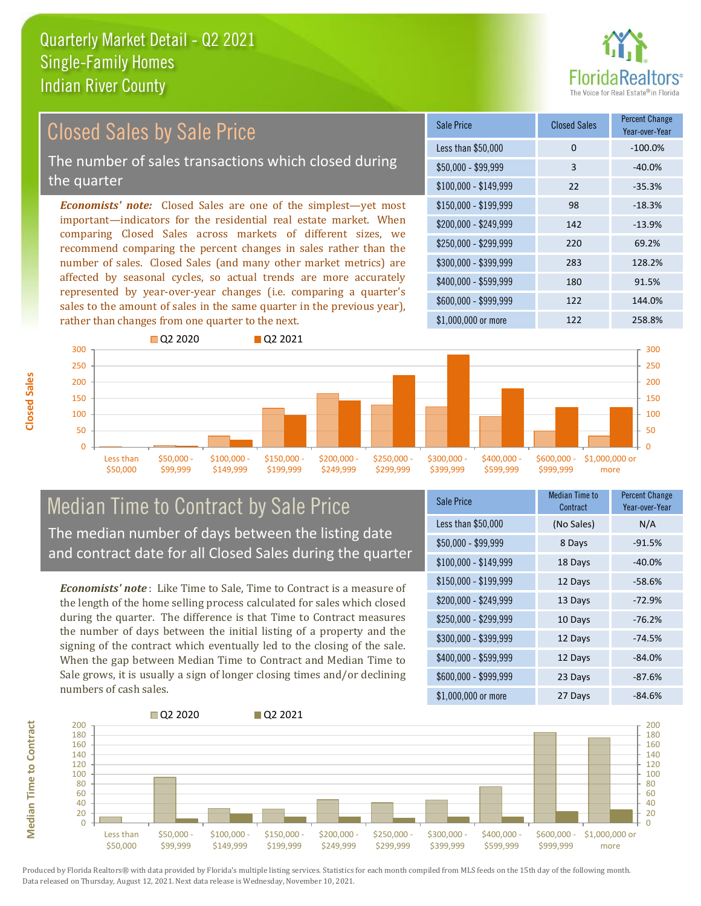

#### *Economists' note:* Closed Sales are one of the simplest—yet most important—indicators for the residential real estate market. When comparing Closed Sales across markets of different sizes, we recommend comparing the percent changes in sales rather than the number of sales. Closed Sales (and many other market metrics) are affected by seasonal cycles, so actual trends are more accurately represented by year-over-year changes (i.e. comparing a quarter's sales to the amount of sales in the same quarter in the previous year), rather than changes from one quarter to the next. \$1,000,000 or more 122 258.8% \$250,000 - \$299,999 220 69.2% \$300,000 - \$399,999 283 128.2% \$400,000 - \$599,999 180 91.5% \$600,000 - \$999,999 122 144.0% \$150,000 - \$199,999 98 -18.3%  $$200.000 - $249.999$  142 -13.9%  $$100,000 - $149,999$  22 -35.3% Sale Price Closed Sales Percent Change Year-over-Year Less than \$50,000 0 0 -100.0%  $$50.000 - $99.999$  3  $-40.0\%$ Q2 2020 Q2 2021 300 Closed Sales by Sale Price The number of sales transactions which closed during the quarter



## Median Time to Contract by Sale Price The median number of days between the listing date and contract date for all Closed Sales during the quarter

*Economists' note* : Like Time to Sale, Time to Contract is a measure of the length of the home selling process calculated for sales which closed during the quarter. The difference is that Time to Contract measures the number of days between the initial listing of a property and the signing of the contract which eventually led to the closing of the sale. When the gap between Median Time to Contract and Median Time to Sale grows, it is usually a sign of longer closing times and/or declining numbers of cash sales.

| Sale Price            | Median Time to<br>Contract | <b>Percent Change</b><br>Year-over-Year |
|-----------------------|----------------------------|-----------------------------------------|
| Less than \$50,000    | (No Sales)                 | N/A                                     |
| $$50,000 - $99,999$   | 8 Days                     | $-91.5%$                                |
| $$100,000 - $149,999$ | 18 Days                    | $-40.0\%$                               |
| $$150,000 - $199,999$ | 12 Days                    | $-58.6%$                                |
| \$200,000 - \$249,999 | 13 Days                    | $-72.9%$                                |
| \$250,000 - \$299,999 | 10 Days                    | $-76.2%$                                |
| \$300,000 - \$399,999 | 12 Days                    | $-74.5%$                                |
| \$400,000 - \$599,999 | 12 Days                    | $-84.0%$                                |
| \$600,000 - \$999,999 | 23 Days                    | $-87.6%$                                |
| \$1,000,000 or more   | 27 Days                    | $-84.6%$                                |



**Closed Sales**

**Median Time to Contract Median Time to Contract**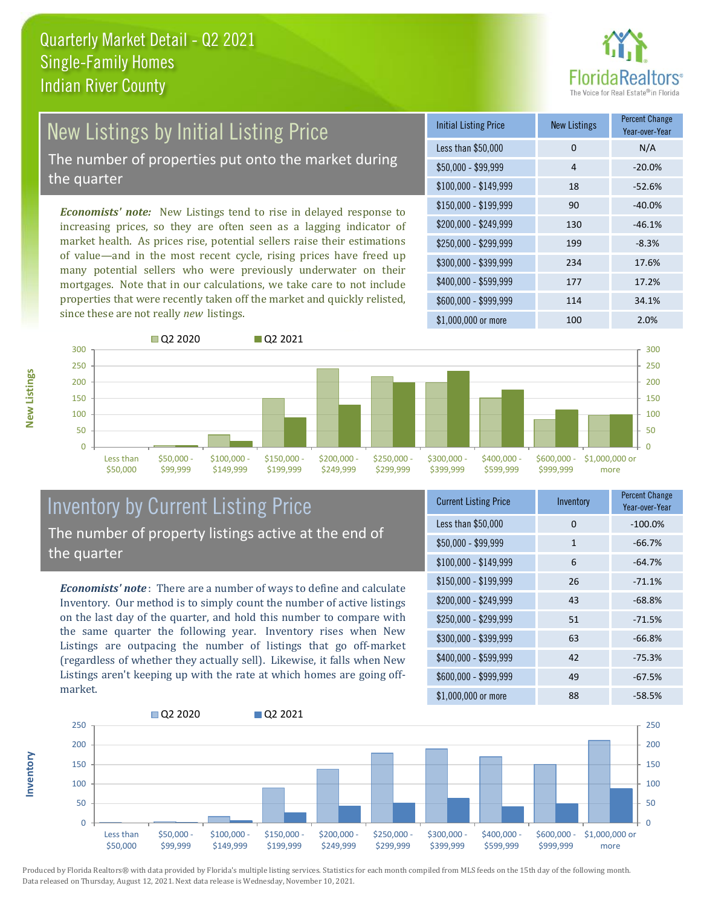

# New Listings by Initial Listing Price

The number of properties put onto the market during the quarter

*Economists' note:* New Listings tend to rise in delayed response to increasing prices, so they are often seen as a lagging indicator of market health. As prices rise, potential sellers raise their estimations of value—and in the most recent cycle, rising prices have freed up many potential sellers who were previously underwater on their mortgages. Note that in our calculations, we take care to not include properties that were recently taken off the market and quickly relisted, since these are not really *new* listings.

| <b>Initial Listing Price</b> | <b>New Listings</b> | <b>Percent Change</b><br>Year-over-Year |
|------------------------------|---------------------|-----------------------------------------|
| Less than \$50,000           | $\Omega$            | N/A                                     |
| $$50,000 - $99,999$          | 4                   | $-20.0%$                                |
| $$100,000 - $149,999$        | 18                  | $-52.6%$                                |
| $$150,000 - $199,999$        | 90                  | $-40.0%$                                |
| \$200,000 - \$249,999        | 130                 | $-46.1%$                                |
| \$250,000 - \$299,999        | 199                 | $-8.3%$                                 |
| \$300,000 - \$399,999        | 234                 | 17.6%                                   |
| \$400,000 - \$599,999        | 177                 | 17.2%                                   |
| \$600,000 - \$999,999        | 114                 | 34.1%                                   |
| \$1,000,000 or more          | 100                 | 2.0%                                    |



## Inventory by Current Listing Price The number of property listings active at the end of the quarter

*Economists' note* : There are a number of ways to define and calculate Inventory. Our method is to simply count the number of active listings on the last day of the quarter, and hold this number to compare with the same quarter the following year. Inventory rises when New Listings are outpacing the number of listings that go off-market (regardless of whether they actually sell). Likewise, it falls when New Listings aren't keeping up with the rate at which homes are going offmarket.

| <b>Current Listing Price</b> | Inventory    | <b>Percent Change</b><br>Year-over-Year |
|------------------------------|--------------|-----------------------------------------|
| Less than \$50,000           | 0            | $-100.0%$                               |
| $$50,000 - $99,999$          | $\mathbf{1}$ | $-66.7%$                                |
| $$100,000 - $149,999$        | 6            | $-64.7%$                                |
| \$150,000 - \$199,999        | 26           | $-71.1%$                                |
| \$200,000 - \$249,999        | 43           | $-68.8%$                                |
| \$250,000 - \$299,999        | 51           | $-71.5%$                                |
| \$300,000 - \$399,999        | 63           | $-66.8%$                                |
| \$400,000 - \$599,999        | 42           | $-75.3%$                                |
| \$600,000 - \$999,999        | 49           | $-67.5%$                                |
| \$1,000,000 or more          | 88           | $-58.5%$                                |



Produced by Florida Realtors® with data provided by Florida's multiple listing services. Statistics for each month compiled from MLS feeds on the 15th day of the following month. Data released on Thursday, August 12, 2021. Next data release is Wednesday, November 10, 2021.

**Inventory**